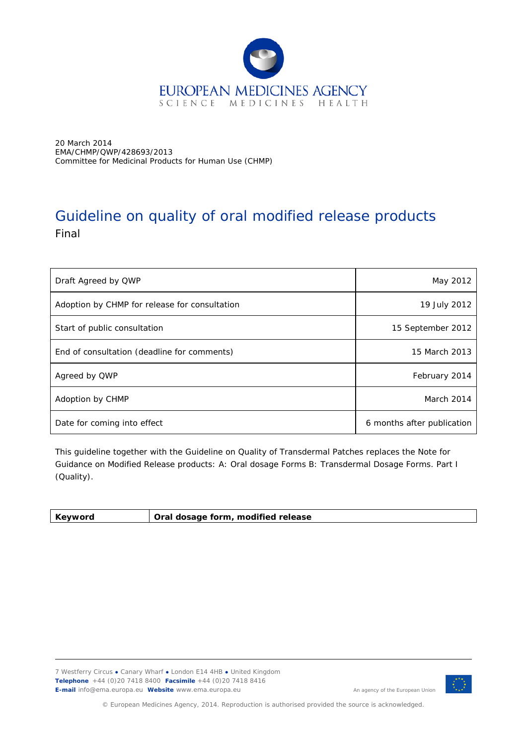

20 March 2014 EMA/CHMP/QWP/428693/2013 Committee for Medicinal Products for Human Use (CHMP)

# Guideline on quality of oral modified release products Final

| Draft Agreed by QWP                           | May 2012                   |
|-----------------------------------------------|----------------------------|
| Adoption by CHMP for release for consultation | 19 July 2012               |
| Start of public consultation                  | 15 September 2012          |
| End of consultation (deadline for comments)   | 15 March 2013              |
| Agreed by QWP                                 | February 2014              |
| Adoption by CHMP                              | March 2014                 |
| Date for coming into effect                   | 6 months after publication |

This guideline together with the Guideline on Quality of Transdermal Patches replaces the Note for Guidance on Modified Release products: A: Oral dosage Forms B: Transdermal Dosage Forms. Part I (Quality).

| <b>Kevword</b> | Oral dosage form, modified release |  |
|----------------|------------------------------------|--|
|----------------|------------------------------------|--|

7 Westferry Circus **●** Canary Wharf **●** London E14 4HB **●** United Kingdom **Telephone** +44 (0)20 7418 8400 **Facsimile** +44 (0)20 7418 8416 **E-mail** info@ema.europa.eu **Website** www.ema.europa.eu



An agency of the European Union

© European Medicines Agency, 2014. Reproduction is authorised provided the source is acknowledged.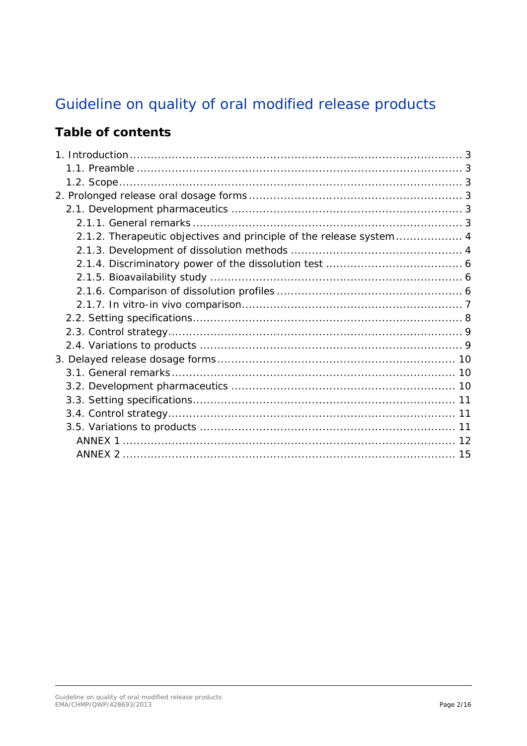# Guideline on quality of oral modified release products

## **Table of contents**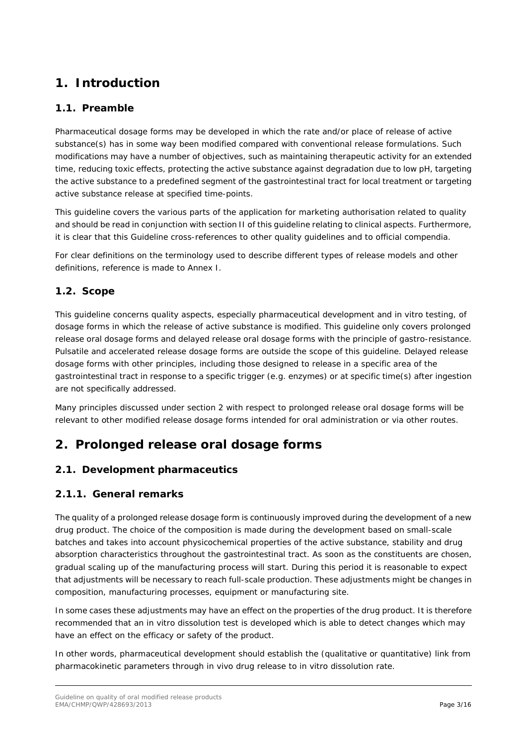## <span id="page-2-0"></span>**1. Introduction**

### <span id="page-2-1"></span>*1.1. Preamble*

Pharmaceutical dosage forms may be developed in which the rate and/or place of release of active substance(s) has in some way been modified compared with conventional release formulations. Such modifications may have a number of objectives, such as maintaining therapeutic activity for an extended time, reducing toxic effects, protecting the active substance against degradation due to low pH, targeting the active substance to a predefined segment of the gastrointestinal tract for local treatment or targeting active substance release at specified time-points.

This guideline covers the various parts of the application for marketing authorisation related to quality and should be read in conjunction with section II of this guideline relating to clinical aspects. Furthermore, it is clear that this Guideline cross-references to other quality guidelines and to official compendia.

For clear definitions on the terminology used to describe different types of release models and other definitions, reference is made to Annex I.

### <span id="page-2-2"></span>*1.2. Scope*

This guideline concerns quality aspects, especially pharmaceutical development and in vitro testing, of dosage forms in which the release of active substance is modified. This guideline only covers prolonged release oral dosage forms and delayed release oral dosage forms with the principle of gastro-resistance. Pulsatile and accelerated release dosage forms are outside the scope of this guideline. Delayed release dosage forms with other principles, including those designed to release in a specific area of the gastrointestinal tract in response to a specific trigger (e.g. enzymes) or at specific time(s) after ingestion are not specifically addressed.

Many principles discussed under section 2 with respect to prolonged release oral dosage forms will be relevant to other modified release dosage forms intended for oral administration or via other routes.

## <span id="page-2-3"></span>**2. Prolonged release oral dosage forms**

### <span id="page-2-4"></span>*2.1. Development pharmaceutics*

### <span id="page-2-5"></span>*2.1.1.* **General remarks**

The quality of a prolonged release dosage form is continuously improved during the development of a new drug product. The choice of the composition is made during the development based on small-scale batches and takes into account physicochemical properties of the active substance, stability and drug absorption characteristics throughout the gastrointestinal tract. As soon as the constituents are chosen, gradual scaling up of the manufacturing process will start. During this period it is reasonable to expect that adjustments will be necessary to reach full-scale production. These adjustments might be changes in composition, manufacturing processes, equipment or manufacturing site.

In some cases these adjustments may have an effect on the properties of the drug product. It is therefore recommended that an in vitro dissolution test is developed which is able to detect changes which may have an effect on the efficacy or safety of the product.

In other words, pharmaceutical development should establish the (qualitative or quantitative) link from pharmacokinetic parameters through in vivo drug release to in vitro dissolution rate.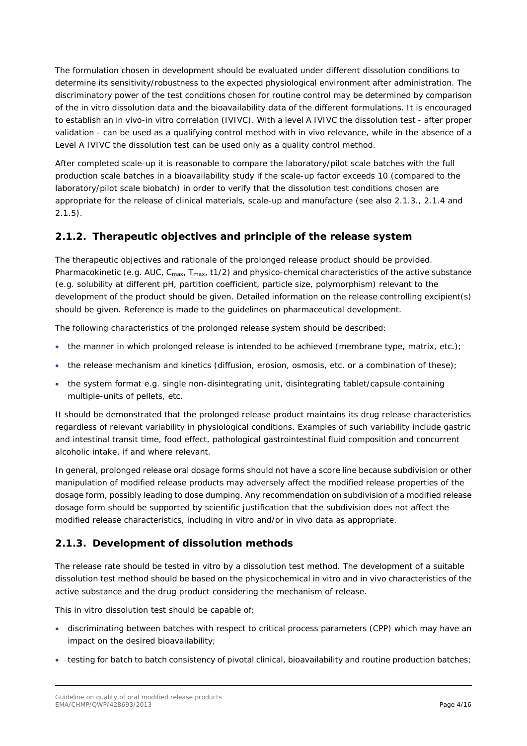The formulation chosen in development should be evaluated under different dissolution conditions to determine its sensitivity/robustness to the expected physiological environment after administration. The discriminatory power of the test conditions chosen for routine control may be determined by comparison of the in vitro dissolution data and the bioavailability data of the different formulations. It is encouraged to establish an in vivo-in vitro correlation (IVIVC). With a level A IVIVC the dissolution test - after proper validation - can be used as a qualifying control method with in vivo relevance, while in the absence of a Level A IVIVC the dissolution test can be used only as a quality control method.

After completed scale-up it is reasonable to compare the laboratory/pilot scale batches with the full production scale batches in a bioavailability study if the scale-up factor exceeds 10 (compared to the laboratory/pilot scale biobatch) in order to verify that the dissolution test conditions chosen are appropriate for the release of clinical materials, scale-up and manufacture (see also 2.1.3., 2.1.4 and 2.1.5).

### <span id="page-3-0"></span>*2.1.2.* **Therapeutic objectives and principle of the release system**

The therapeutic objectives and rationale of the prolonged release product should be provided. Pharmacokinetic (e.g. AUC,  $C_{max}$ ,  $T_{max}$ , t1/2) and physico-chemical characteristics of the active substance (e.g. solubility at different pH, partition coefficient, particle size, polymorphism) relevant to the development of the product should be given. Detailed information on the release controlling excipient(s) should be given. Reference is made to the guidelines on pharmaceutical development.

The following characteristics of the prolonged release system should be described:

- $\bullet$  the manner in which prolonged release is intended to be achieved (membrane type, matrix, etc.);
- the release mechanism and kinetics (diffusion, erosion, osmosis, etc. or a combination of these);
- the system format e.g. single non-disintegrating unit, disintegrating tablet/capsule containing multiple-units of pellets, etc.

It should be demonstrated that the prolonged release product maintains its drug release characteristics regardless of relevant variability in physiological conditions. Examples of such variability include gastric and intestinal transit time, food effect, pathological gastrointestinal fluid composition and concurrent alcoholic intake, if and where relevant.

In general, prolonged release oral dosage forms should not have a score line because subdivision or other manipulation of modified release products may adversely affect the modified release properties of the dosage form, possibly leading to dose dumping. Any recommendation on subdivision of a modified release dosage form should be supported by scientific justification that the subdivision does not affect the modified release characteristics, including *in vitro* and/or *in vivo* data as appropriate.

### <span id="page-3-1"></span>**2.1.3. Development of dissolution methods**

The release rate should be tested in vitro by a dissolution test method. The development of a suitable dissolution test method should be based on the physicochemical in vitro and in vivo characteristics of the active substance and the drug product considering the mechanism of release.

This *in vitro* dissolution test should be capable of:

- discriminating between batches with respect to critical process parameters (CPP) which may have an impact on the desired bioavailability;
- testing for batch to batch consistency of pivotal clinical, bioavailability and routine production batches;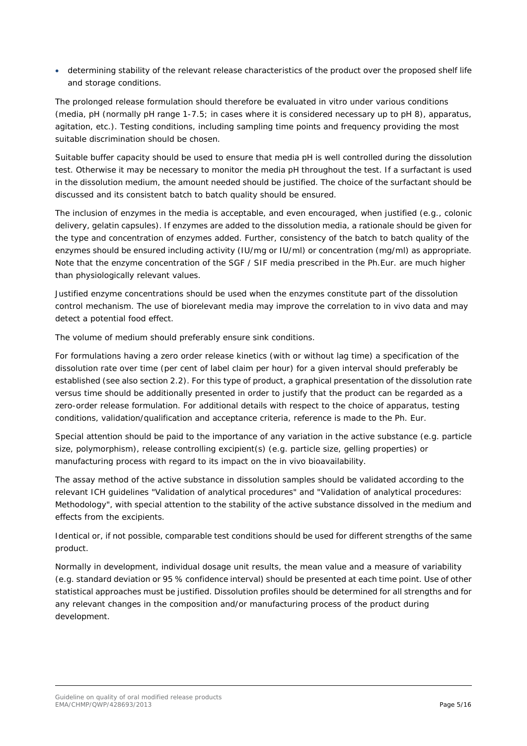• determining stability of the relevant release characteristics of the product over the proposed shelf life and storage conditions.

The prolonged release formulation should therefore be evaluated in vitro under various conditions (media, pH (normally pH range 1-7.5; in cases where it is considered necessary up to pH 8), apparatus, agitation, etc.). Testing conditions, including sampling time points and frequency providing the most suitable discrimination should be chosen.

Suitable buffer capacity should be used to ensure that media pH is well controlled during the dissolution test. Otherwise it may be necessary to monitor the media pH throughout the test. If a surfactant is used in the dissolution medium, the amount needed should be justified. The choice of the surfactant should be discussed and its consistent batch to batch quality should be ensured.

The inclusion of enzymes in the media is acceptable, and even encouraged, when justified (e.g., colonic delivery, gelatin capsules). If enzymes are added to the dissolution media, a rationale should be given for the type and concentration of enzymes added. Further, consistency of the batch to batch quality of the enzymes should be ensured including activity (IU/mg or IU/ml) or concentration (mg/ml) as appropriate. Note that the enzyme concentration of the SGF / SIF media prescribed in the Ph.Eur. are much higher than physiologically relevant values.

Justified enzyme concentrations should be used when the enzymes constitute part of the dissolution control mechanism. The use of biorelevant media may improve the correlation to in vivo data and may detect a potential food effect.

The volume of medium should preferably ensure sink conditions.

For formulations having a zero order release kinetics (with or without lag time) a specification of the dissolution rate over time (per cent of label claim per hour) for a given interval should preferably be established (see also section 2.2). For this type of product, a graphical presentation of the dissolution rate versus time should be additionally presented in order to justify that the product can be regarded as a zero-order release formulation. For additional details with respect to the choice of apparatus, testing conditions, validation/qualification and acceptance criteria, reference is made to the Ph. Eur.

Special attention should be paid to the importance of any variation in the active substance (e.g. particle size, polymorphism), release controlling excipient(s) (e.g. particle size, gelling properties) or manufacturing process with regard to its impact on the in vivo bioavailability.

The assay method of the active substance in dissolution samples should be validated according to the relevant ICH guidelines "Validation of analytical procedures" and "Validation of analytical procedures: Methodology", with special attention to the stability of the active substance dissolved in the medium and effects from the excipients.

Identical or, if not possible, comparable test conditions should be used for different strengths of the same product.

Normally in development, individual dosage unit results, the mean value and a measure of variability (e.g. standard deviation or 95 % confidence interval) should be presented at each time point. Use of other statistical approaches must be justified. Dissolution profiles should be determined for all strengths and for any relevant changes in the composition and/or manufacturing process of the product during development.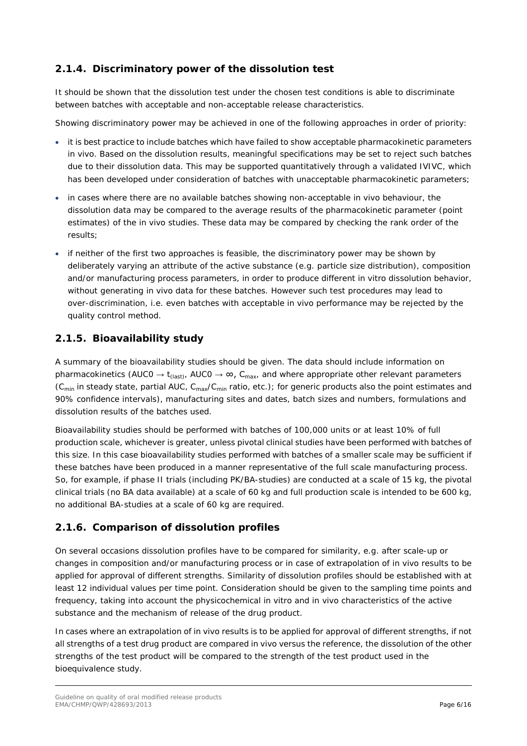### <span id="page-5-0"></span>**2.1.4. Discriminatory power of the dissolution test**

It should be shown that the dissolution test under the chosen test conditions is able to discriminate between batches with acceptable and non-acceptable release characteristics.

Showing discriminatory power may be achieved in one of the following approaches in order of priority:

- it is best practice to include batches which have failed to show acceptable pharmacokinetic parameters in vivo. Based on the dissolution results, meaningful specifications may be set to reject such batches due to their dissolution data. This may be supported quantitatively through a validated IVIVC, which has been developed under consideration of batches with unacceptable pharmacokinetic parameters;
- in cases where there are no available batches showing non-acceptable *in vivo* behaviour, the dissolution data may be compared to the average results of the pharmacokinetic parameter (point estimates) of the in vivo studies. These data may be compared by checking the rank order of the results;
- if neither of the first two approaches is feasible, the discriminatory power may be shown by deliberately varying an attribute of the active substance (e.g. particle size distribution), composition and/or manufacturing process parameters, in order to produce different in vitro dissolution behavior, without generating in vivo data for these batches. However such test procedures may lead to over-discrimination, i.e. even batches with acceptable in vivo performance may be rejected by the quality control method.

#### <span id="page-5-1"></span>**2.1.5. Bioavailability study**

A summary of the bioavailability studies should be given. The data should include information on pharmacokinetics (AUC0  $\rightarrow$  t<sub>(last)</sub>, AUC0  $\rightarrow \infty$ , C<sub>max</sub>, and where appropriate other relevant parameters (C<sub>min</sub> in steady state, partial AUC, C<sub>max</sub>/C<sub>min</sub> ratio, etc.); for generic products also the point estimates and 90% confidence intervals), manufacturing sites and dates, batch sizes and numbers, formulations and dissolution results of the batches used.

Bioavailability studies should be performed with batches of 100,000 units or at least 10% of full production scale, whichever is greater, unless pivotal clinical studies have been performed with batches of this size. In this case bioavailability studies performed with batches of a smaller scale may be sufficient if these batches have been produced in a manner representative of the full scale manufacturing process. So, for example, if phase II trials (including PK/BA-studies) are conducted at a scale of 15 kg, the pivotal clinical trials (no BA data available) at a scale of 60 kg and full production scale is intended to be 600 kg, no additional BA-studies at a scale of 60 kg are required.

#### <span id="page-5-2"></span>**2.1.6. Comparison of dissolution profiles**

On several occasions dissolution profiles have to be compared for similarity, e.g. after scale-up or changes in composition and/or manufacturing process or in case of extrapolation of in vivo results to be applied for approval of different strengths. Similarity of dissolution profiles should be established with at least 12 individual values per time point. Consideration should be given to the sampling time points and frequency, taking into account the physicochemical in vitro and in vivo characteristics of the active substance and the mechanism of release of the drug product.

In cases where an extrapolation of in vivo results is to be applied for approval of different strengths, if not all strengths of a test drug product are compared in vivo versus the reference, the dissolution of the other strengths of the test product will be compared to the strength of the test product used in the bioequivalence study.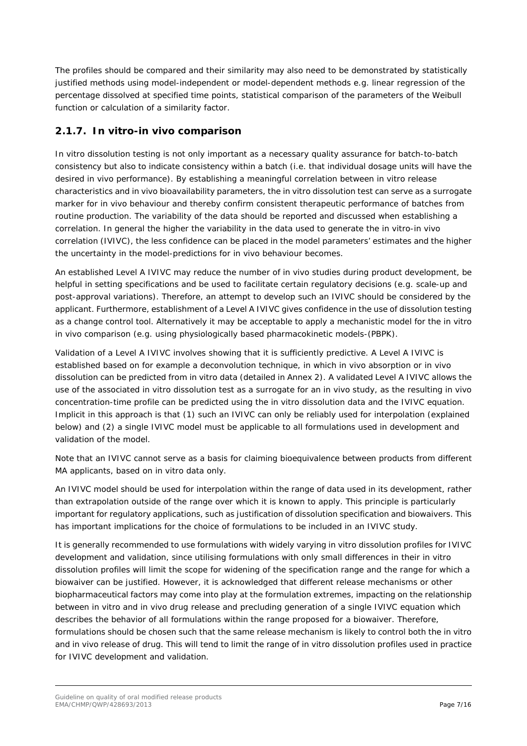The profiles should be compared and their similarity may also need to be demonstrated by statistically justified methods using model-independent or model-dependent methods e.g. linear regression of the percentage dissolved at specified time points, statistical comparison of the parameters of the Weibull function or calculation of a similarity factor.

### <span id="page-6-0"></span>**2.1.7.** *In vitro***-***in vivo* **comparison**

*In vitro* dissolution testing is not only important as a necessary quality assurance for batch-to-batch consistency but also to indicate consistency within a batch (i.e. that individual dosage units will have the desired *in vivo* performance). By establishing a meaningful correlation between *in vitro* release characteristics and *in vivo* bioavailability parameters, the *in vitro* dissolution test can serve as a surrogate marker for *in vivo* behaviour and thereby confirm consistent therapeutic performance of batches from routine production. The variability of the data should be reported and discussed when establishing a correlation. In general the higher the variability in the data used to generate the *in vitro*-*in vivo* correlation (IVIVC), the less confidence can be placed in the model parameters' estimates and the higher the uncertainty in the model-predictions for *in vivo* behaviour becomes.

An established Level A IVIVC may reduce the number of *in vivo* studies during product development, be helpful in setting specifications and be used to facilitate certain regulatory decisions (e.g. scale-up and post-approval variations). Therefore, an attempt to develop such an IVIVC should be considered by the applicant. Furthermore, establishment of a Level A IVIVC gives confidence in the use of dissolution testing as a change control tool. Alternatively it may be acceptable to apply a mechanistic model for the *in vitro in vivo* comparison (e.g. using physiologically based pharmacokinetic models-(PBPK).

Validation of a Level A IVIVC involves showing that it is sufficiently predictive. A Level A IVIVC is established based on for example a deconvolution technique, in which *in vivo* absorption or *in vivo* dissolution can be predicted from *in vitro* data (detailed in Annex 2). A validated Level A IVIVC allows the use of the associated *in vitro* dissolution test as a surrogate for an *in vivo* study, as the resulting *in vivo* concentration-time profile can be predicted using the *in vitro* dissolution data and the IVIVC equation. Implicit in this approach is that (1) such an IVIVC can only be reliably used for interpolation (explained below) and (2) a single IVIVC model must be applicable to all formulations used in development and validation of the model.

Note that an IVIVC cannot serve as a basis for claiming bioequivalence between products from different MA applicants, based on *in vitro* data only.

An IVIVC model should be used for interpolation within the range of data used in its development, rather than extrapolation outside of the range over which it is known to apply. This principle is particularly important for regulatory applications, such as justification of dissolution specification and biowaivers. This has important implications for the choice of formulations to be included in an IVIVC study.

It is generally recommended to use formulations with widely varying *in vitro* dissolution profiles for IVIVC development and validation, since utilising formulations with only small differences in their *in vitro* dissolution profiles will limit the scope for widening of the specification range and the range for which a biowaiver can be justified. However, it is acknowledged that different release mechanisms or other biopharmaceutical factors may come into play at the formulation extremes, impacting on the relationship between *in vitro* and *in vivo* drug release and precluding generation of a single IVIVC equation which describes the behavior of all formulations within the range proposed for a biowaiver. Therefore, formulations should be chosen such that the same release mechanism is likely to control both the *in vitro* and *in vivo* release of drug. This will tend to limit the range of *in vitro* dissolution profiles used in practice for IVIVC development and validation.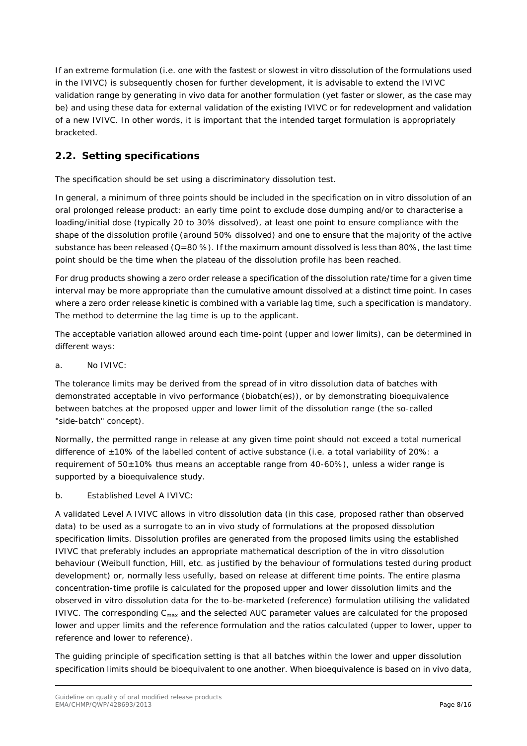If an extreme formulation (i.e. one with the fastest or slowest *in vitro* dissolution of the formulations used in the IVIVC) is subsequently chosen for further development, it is advisable to extend the IVIVC validation range by generating *in vivo* data for another formulation (yet faster or slower, as the case may be) and using these data for external validation of the existing IVIVC or for redevelopment and validation of a new IVIVC. In other words, it is important that the intended target formulation is appropriately bracketed.

### <span id="page-7-0"></span>*2.2. Setting specifications*

The specification should be set using a discriminatory dissolution test.

In general, a minimum of three points should be included in the specification on *in vitro* dissolution of an oral prolonged release product: an early time point to exclude dose dumping and/or to characterise a loading/initial dose (typically 20 to 30% dissolved), at least one point to ensure compliance with the shape of the dissolution profile (around 50% dissolved) and one to ensure that the majority of the active substance has been released  $(Q=80 \%)$ . If the maximum amount dissolved is less than 80%, the last time point should be the time when the plateau of the dissolution profile has been reached.

For drug products showing a zero order release a specification of the dissolution rate/time for a given time interval may be more appropriate than the cumulative amount dissolved at a distinct time point. In cases where a zero order release kinetic is combined with a variable lag time, such a specification is mandatory. The method to determine the lag time is up to the applicant.

The acceptable variation allowed around each time-point (upper and lower limits), can be determined in different ways:

a. No IVIVC:

The tolerance limits may be derived from the spread of *in vitro* dissolution data of batches with demonstrated acceptable *in vivo* performance (biobatch(es)), or by demonstrating bioequivalence between batches at the proposed upper and lower limit of the dissolution range (the so-called "side-batch" concept).

Normally, the permitted range in release at any given time point should not exceed a total numerical difference of ±10% of the labelled content of active substance (i.e. a total variability of 20%: a requirement of  $50\pm10\%$  thus means an acceptable range from 40-60%), unless a wider range is supported by a bioequivalence study.

b. Established Level A IVIVC:

A validated Level A IVIVC allows *in vitro* dissolution data (in this case, proposed rather than observed data) to be used as a surrogate to an *in vivo* study of formulations at the proposed dissolution specification limits. Dissolution profiles are generated from the proposed limits using the established IVIVC that preferably includes an appropriate mathematical description of the *in vitro* dissolution behaviour (Weibull function, Hill, etc. as justified by the behaviour of formulations tested during product development) or, normally less usefully, based on release at different time points. The entire plasma concentration-time profile is calculated for the proposed upper and lower dissolution limits and the observed *in vitro* dissolution data for the to-be-marketed (reference) formulation utilising the validated IVIVC. The corresponding  $C_{\text{max}}$  and the selected AUC parameter values are calculated for the proposed lower and upper limits and the reference formulation and the ratios calculated (upper to lower, upper to reference and lower to reference).

The guiding principle of specification setting is that all batches within the lower and upper dissolution specification limits should be bioequivalent to one another. When bioequivalence is based on *in vivo* data,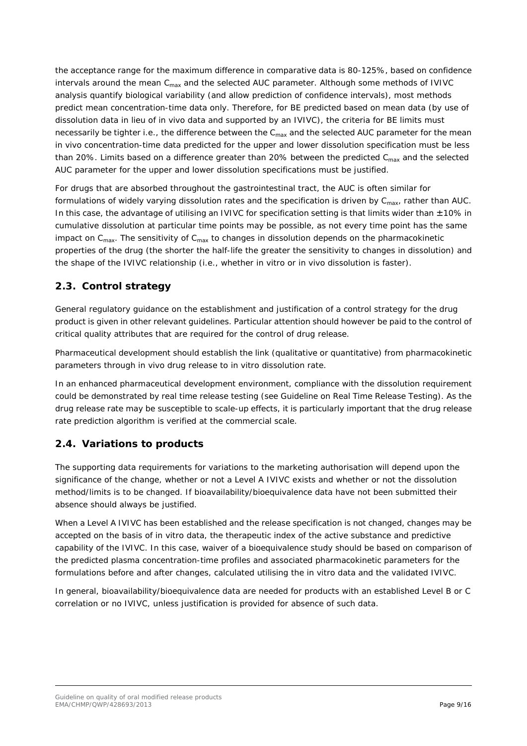the acceptance range for the maximum difference in comparative data is 80-125%, based on confidence intervals around the mean  $C<sub>max</sub>$  and the selected AUC parameter. Although some methods of IVIVC analysis quantify biological variability (and allow prediction of confidence intervals), most methods predict mean concentration-time data only. Therefore, for BE predicted based on mean data (by use of dissolution data in lieu of *in vivo* data and supported by an IVIVC), the criteria for BE limits must necessarily be tighter i.e., the difference between the  $C_{max}$  and the selected AUC parameter for the mean *in vivo* concentration-time data predicted for the upper and lower dissolution specification must be less than 20%. Limits based on a difference greater than 20% between the predicted  $C_{\text{max}}$  and the selected AUC parameter for the upper and lower dissolution specifications must be justified.

For drugs that are absorbed throughout the gastrointestinal tract, the AUC is often similar for formulations of widely varying dissolution rates and the specification is driven by  $C_{\text{max}}$ , rather than AUC. In this case, the advantage of utilising an IVIVC for specification setting is that limits wider than  $\pm 10\%$  in cumulative dissolution at particular time points may be possible, as not every time point has the same impact on  $C_{\text{max}}$ . The sensitivity of  $C_{\text{max}}$  to changes in dissolution depends on the pharmacokinetic properties of the drug (the shorter the half-life the greater the sensitivity to changes in dissolution) and the shape of the IVIVC relationship (i.e., whether *in vitro* or *in vivo* dissolution is faster).

### <span id="page-8-0"></span>*2.3. Control strategy*

General regulatory guidance on the establishment and justification of a control strategy for the drug product is given in other relevant guidelines. Particular attention should however be paid to the control of critical quality attributes that are required for the control of drug release.

Pharmaceutical development should establish the link (qualitative or quantitative) from pharmacokinetic parameters through *in vivo* drug release to *in vitro* dissolution rate.

In an enhanced pharmaceutical development environment, compliance with the dissolution requirement could be demonstrated by real time release testing (see Guideline on Real Time Release Testing). As the drug release rate may be susceptible to scale-up effects, it is particularly important that the drug release rate prediction algorithm is verified at the commercial scale.

### <span id="page-8-1"></span>*2.4. Variations to products*

The supporting data requirements for variations to the marketing authorisation will depend upon the significance of the change, whether or not a Level A IVIVC exists and whether or not the dissolution method/limits is to be changed. If bioavailability/bioequivalence data have not been submitted their absence should always be justified.

When a Level A IVIVC has been established and the release specification is not changed, changes may be accepted on the basis of *in vitro* data, the therapeutic index of the active substance and predictive capability of the IVIVC. In this case, waiver of a bioequivalence study should be based on comparison of the predicted plasma concentration-time profiles and associated pharmacokinetic parameters for the formulations before and after changes, calculated utilising the *in vitro* data and the validated IVIVC.

In general, bioavailability/bioequivalence data are needed for products with an established Level B or C correlation or no IVIVC, unless justification is provided for absence of such data.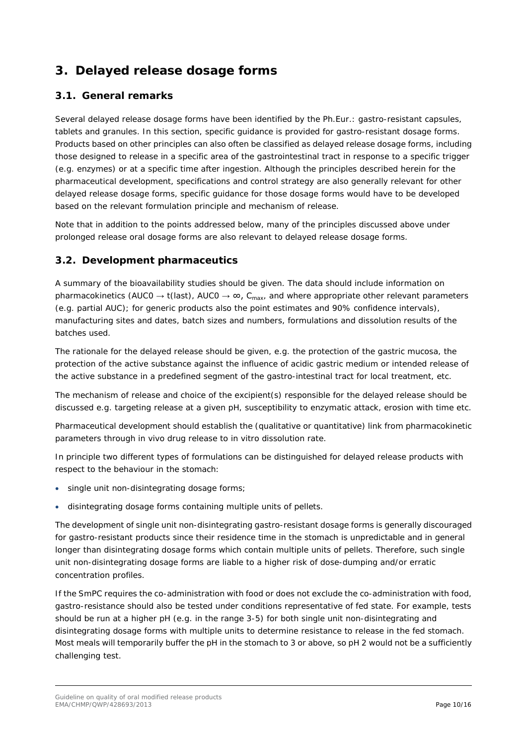## <span id="page-9-0"></span>**3. Delayed release dosage forms**

### <span id="page-9-1"></span>*3.1. General remarks*

Several delayed release dosage forms have been identified by the Ph.Eur.: gastro-resistant capsules, tablets and granules. In this section, specific guidance is provided for gastro-resistant dosage forms. Products based on other principles can also often be classified as delayed release dosage forms, including those designed to release in a specific area of the gastrointestinal tract in response to a specific trigger (e.g. enzymes) or at a specific time after ingestion. Although the principles described herein for the pharmaceutical development, specifications and control strategy are also generally relevant for other delayed release dosage forms, specific guidance for those dosage forms would have to be developed based on the relevant formulation principle and mechanism of release.

Note that in addition to the points addressed below, many of the principles discussed above under prolonged release oral dosage forms are also relevant to delayed release dosage forms.

#### <span id="page-9-2"></span>*3.2. Development pharmaceutics*

A summary of the bioavailability studies should be given. The data should include information on pharmacokinetics (AUCO  $\rightarrow$  t(last), AUCO  $\rightarrow \infty$ , C<sub>max</sub>, and where appropriate other relevant parameters (e.g. partial AUC); for generic products also the point estimates and 90% confidence intervals), manufacturing sites and dates, batch sizes and numbers, formulations and dissolution results of the batches used.

The rationale for the delayed release should be given, e.g. the protection of the gastric mucosa, the protection of the active substance against the influence of acidic gastric medium or intended release of the active substance in a predefined segment of the gastro-intestinal tract for local treatment, etc.

The mechanism of release and choice of the excipient(s) responsible for the delayed release should be discussed e.g. targeting release at a given pH, susceptibility to enzymatic attack, erosion with time etc.

Pharmaceutical development should establish the (qualitative or quantitative) link from pharmacokinetic parameters through *in vivo* drug release to *in vitro* dissolution rate.

In principle two different types of formulations can be distinguished for delayed release products with respect to the behaviour in the stomach:

- single unit non-disintegrating dosage forms;
- disintegrating dosage forms containing multiple units of pellets.

The development of single unit non-disintegrating gastro-resistant dosage forms is generally discouraged for gastro-resistant products since their residence time in the stomach is unpredictable and in general longer than disintegrating dosage forms which contain multiple units of pellets. Therefore, such single unit non-disintegrating dosage forms are liable to a higher risk of dose-dumping and/or erratic concentration profiles.

If the SmPC requires the co-administration with food or does not exclude the co-administration with food, gastro-resistance should also be tested under conditions representative of fed state. For example, tests should be run at a higher pH (e.g. in the range 3-5) for both single unit non-disintegrating and disintegrating dosage forms with multiple units to determine resistance to release in the fed stomach. Most meals will temporarily buffer the pH in the stomach to 3 or above, so pH 2 would not be a sufficiently challenging test.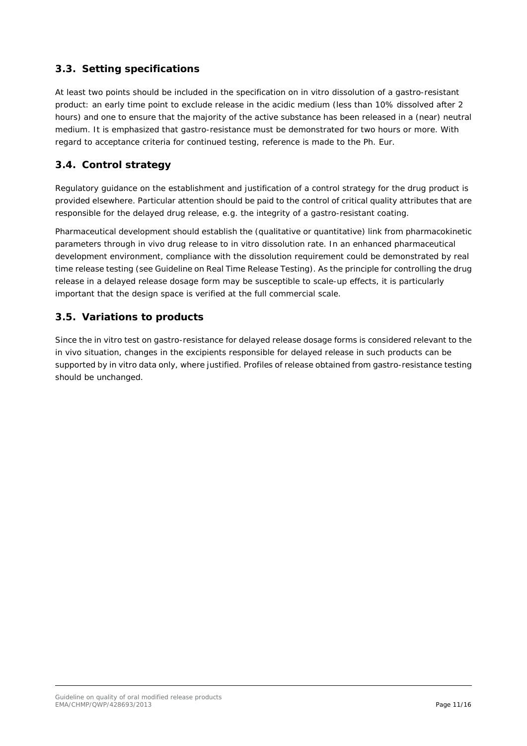### <span id="page-10-0"></span>*3.3. Setting specifications*

At least two points should be included in the specification on in vitro dissolution of a gastro-resistant product: an early time point to exclude release in the acidic medium (less than 10% dissolved after 2 hours) and one to ensure that the majority of the active substance has been released in a (near) neutral medium. It is emphasized that gastro-resistance must be demonstrated for two hours or more. With regard to acceptance criteria for continued testing, reference is made to the Ph. Eur.

### <span id="page-10-1"></span>*3.4. Control strategy*

Regulatory guidance on the establishment and justification of a control strategy for the drug product is provided elsewhere. Particular attention should be paid to the control of critical quality attributes that are responsible for the delayed drug release, e.g. the integrity of a gastro-resistant coating.

Pharmaceutical development should establish the (qualitative or quantitative) link from pharmacokinetic parameters through in vivo drug release to in vitro dissolution rate. In an enhanced pharmaceutical development environment, compliance with the dissolution requirement could be demonstrated by real time release testing (see Guideline on Real Time Release Testing). As the principle for controlling the drug release in a delayed release dosage form may be susceptible to scale-up effects, it is particularly important that the design space is verified at the full commercial scale.

#### <span id="page-10-2"></span>*3.5. Variations to products*

Since the in vitro test on gastro-resistance for delayed release dosage forms is considered relevant to the in vivo situation, changes in the excipients responsible for delayed release in such products can be supported by in vitro data only, where justified. Profiles of release obtained from gastro-resistance testing should be unchanged.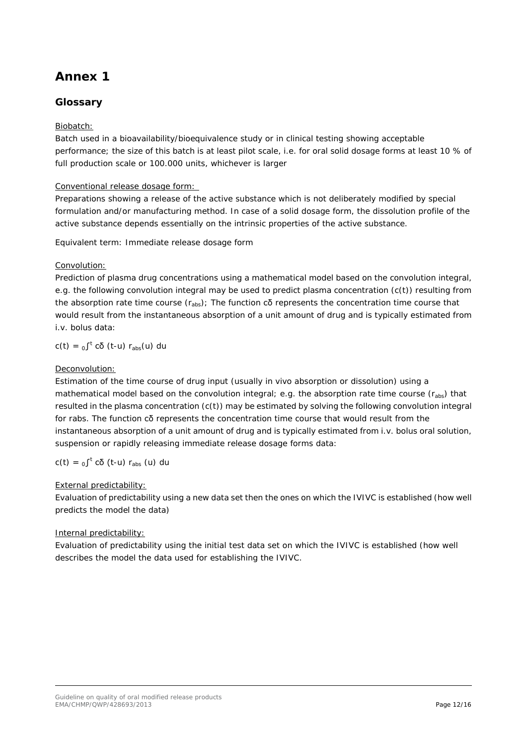## <span id="page-11-0"></span>**Annex 1**

### **Glossary**

#### Biobatch:

Batch used in a bioavailability/bioequivalence study or in clinical testing showing acceptable performance; the size of this batch is at least pilot scale, i.e. for oral solid dosage forms at least 10 % of full production scale or 100.000 units, whichever is larger

#### Conventional release dosage form:

Preparations showing a release of the active substance which is not deliberately modified by special formulation and/or manufacturing method. In case of a solid dosage form, the dissolution profile of the active substance depends essentially on the intrinsic properties of the active substance.

Equivalent term: Immediate release dosage form

#### Convolution:

Prediction of plasma drug concentrations using a mathematical model based on the convolution integral, e.g. the following convolution integral may be used to predict plasma concentration (c(t)) resulting from the absorption rate time course  $(r_{abs})$ ; The function  $c\delta$  represents the concentration time course that would result from the instantaneous absorption of a unit amount of drug and is typically estimated from i.v. bolus data:

c(t) =  $0$ <sup>t</sup> cδ (t-u) r<sub>abs</sub>(u) du

#### Deconvolution:

Estimation of the time course of drug input (usually *in vivo* absorption or dissolution) using a mathematical model based on the convolution integral; e.g. the absorption rate time course  $(r_{abs})$  that resulted in the plasma concentration (c(t)) may be estimated by solving the following convolution integral for rabs. The function cδ represents the concentration time course that would result from the instantaneous absorption of a unit amount of drug and is typically estimated from i.v. bolus oral solution, suspension or rapidly releasing immediate release dosage forms data:

c(t) =  $_0$  $\int$ <sup>t</sup> cδ (t-u) r<sub>abs</sub> (u) du

#### External predictability:

Evaluation of predictability using a new data set then the ones on which the IVIVC is established (how well predicts the model the data)

#### Internal predictability:

Evaluation of predictability using the initial test data set on which the IVIVC is established (how well describes the model the data used for establishing the IVIVC.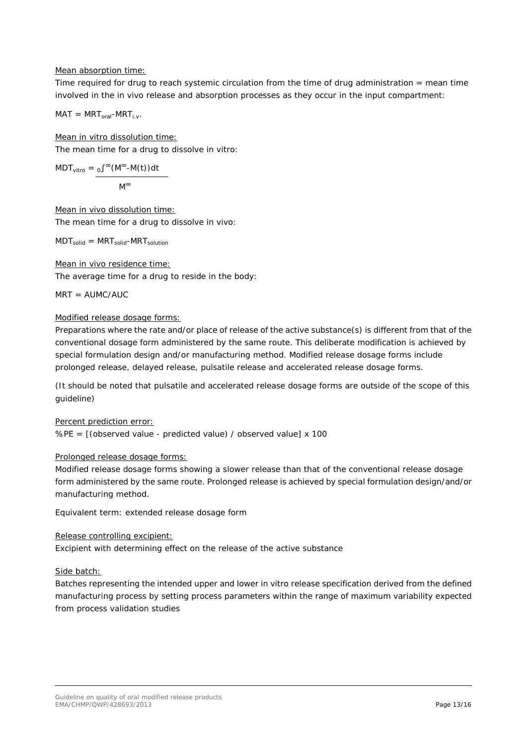#### Mean absorption time:

Time required for drug to reach systemic circulation from the time of drug administration = mean time involved in the *in vivo* release and absorption processes as they occur in the input compartment:

$$
MAT = MRT_{oral} - MRT_{i.v}.
$$

Mean in vitro dissolution time: The mean time for a drug to dissolve *in vitro*:

$$
MDT_{\text{vitro}} = \underbrace{0 \int^{\infty} (M^{\infty} \text{-} M(t)) dt}_{M^{\infty}}
$$

Mean in vivo dissolution time: The mean time for a drug to dissolve *in vivo*:

$$
MDT_{solid} = MRT_{solid} - MRT_{solution}
$$

Mean in vivo residence time: The average time for a drug to reside in the body:

 $MRT = AUMC/AUC$ 

#### Modified release dosage forms:

Preparations where the rate and/or place of release of the active substance(s) is different from that of the conventional dosage form administered by the same route. This deliberate modification is achieved by special formulation design and/or manufacturing method. Modified release dosage forms include prolonged release, delayed release, pulsatile release and accelerated release dosage forms.

(It should be noted that pulsatile and accelerated release dosage forms are outside of the scope of this guideline)

#### Percent prediction error:

%PE = [(observed value - predicted value) / observed value] x 100

#### Prolonged release dosage forms:

Modified release dosage forms showing a slower release than that of the conventional release dosage form administered by the same route. Prolonged release is achieved by special formulation design/and/or manufacturing method.

Equivalent term: extended release dosage form

#### Release controlling excipient:

Excipient with determining effect on the release of the active substance

#### Side batch:

Batches representing the intended upper and lower *in vitro* release specification derived from the defined manufacturing process by setting process parameters within the range of maximum variability expected from process validation studies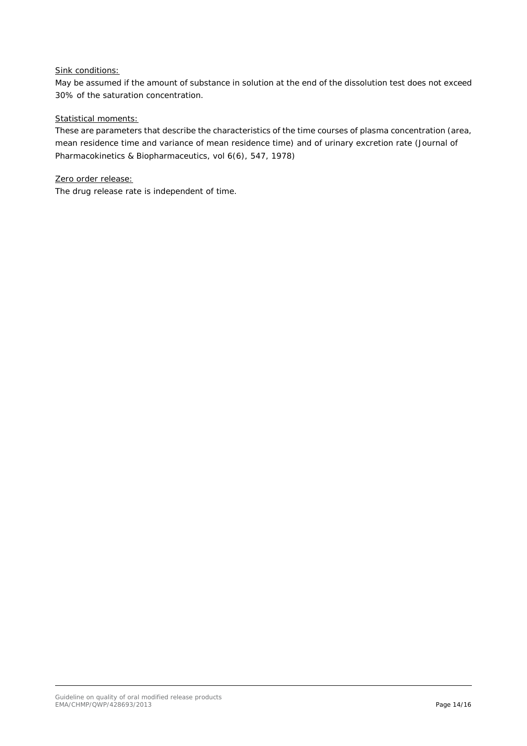#### Sink conditions:

May be assumed if the amount of substance in solution at the end of the dissolution test does not exceed 30% of the saturation concentration.

#### Statistical moments:

These are parameters that describe the characteristics of the time courses of plasma concentration (area, mean residence time and variance of mean residence time) and of urinary excretion rate (Journal of Pharmacokinetics & Biopharmaceutics, vol 6(6), 547, 1978)

#### Zero order release:

The drug release rate is independent of time.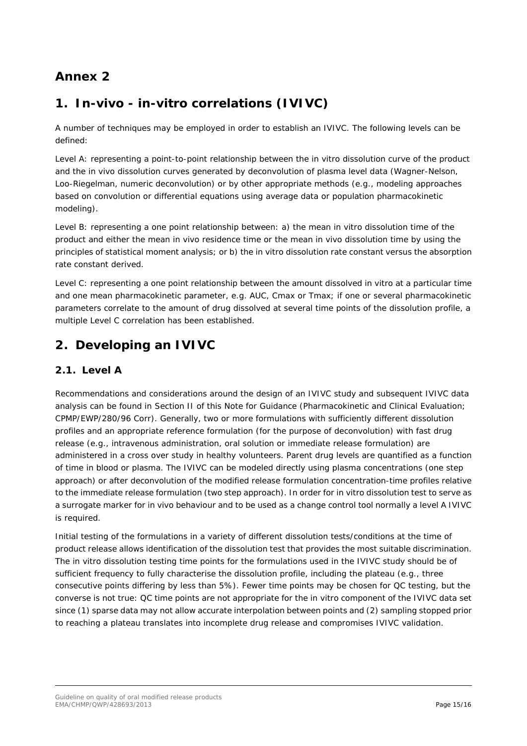## <span id="page-14-0"></span>**Annex 2**

## **1.** *In-vivo* **-** *in-vitro* **correlations (IVIVC)**

A number of techniques may be employed in order to establish an IVIVC. The following levels can be defined:

Level A: representing a point-to-point relationship between the in vitro dissolution curve of the product and the in vivo dissolution curves generated by deconvolution of plasma level data (Wagner-Nelson, Loo-Riegelman, numeric deconvolution) or by other appropriate methods (e.g., modeling approaches based on convolution or differential equations using average data or population pharmacokinetic modeling).

Level B: representing a one point relationship between: a) the mean in vitro dissolution time of the product and either the mean in vivo residence time or the mean in vivo dissolution time by using the principles of statistical moment analysis; or b) the in vitro dissolution rate constant versus the absorption rate constant derived.

Level C: representing a one point relationship between the amount dissolved in vitro at a particular time and one mean pharmacokinetic parameter, e.g. AUC, Cmax or Tmax; if one or several pharmacokinetic parameters correlate to the amount of drug dissolved at several time points of the dissolution profile, a multiple Level C correlation has been established.

## **2. Developing an IVIVC**

### *2.1. Level A*

Recommendations and considerations around the design of an IVIVC study and subsequent IVIVC data analysis can be found in Section II of this Note for Guidance (Pharmacokinetic and Clinical Evaluation; CPMP/EWP/280/96 Corr). Generally, two or more formulations with sufficiently different dissolution profiles and an appropriate reference formulation (for the purpose of deconvolution) with fast drug release (e.g., intravenous administration, oral solution or immediate release formulation) are administered in a cross over study in healthy volunteers. Parent drug levels are quantified as a function of time in blood or plasma. The IVIVC can be modeled directly using plasma concentrations (one step approach) or after deconvolution of the modified release formulation concentration-time profiles relative to the immediate release formulation (two step approach). In order for in vitro dissolution test to serve as a surrogate marker for in vivo behaviour and to be used as a change control tool normally a level A IVIVC is required.

Initial testing of the formulations in a variety of different dissolution tests/conditions at the time of product release allows identification of the dissolution test that provides the most suitable discrimination. The in vitro dissolution testing time points for the formulations used in the IVIVC study should be of sufficient frequency to fully characterise the dissolution profile, including the plateau (e.g., three consecutive points differing by less than 5%). Fewer time points may be chosen for QC testing, but the converse is not true: QC time points are not appropriate for the in vitro component of the IVIVC data set since (1) sparse data may not allow accurate interpolation between points and (2) sampling stopped prior to reaching a plateau translates into incomplete drug release and compromises IVIVC validation.